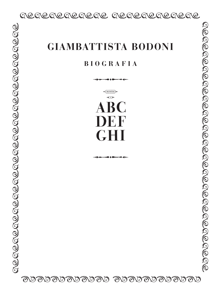## RERERERERE RERERERERE

# **B I O G R A F I A**

H MAJUSCOLE & R.  $\blacksquare$ DEF

 $\mathcal B$ B $\mathcal B$ B $\mathcal B$ B $\mathcal B$ B $\mathcal B$ B $\mathcal B$ B $\mathcal B$ B $\mathcal B$ B $\mathcal B$ B $\mathcal B$ B $\mathcal B$ B $\mathcal B$ B $\mathcal B$ B $\mathcal B$ B $\mathcal B$ B $\mathcal B$ B $\mathcal B$ B $\mathcal B$ 

ß

ß

ß

ß

ß

ß

ß

ß

ß

ß

ß

ß

ß

ß

ß

ß

ß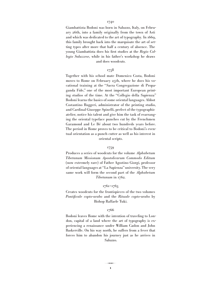Giambattista Bodoni was born in Saluzzo, Italy, on February 26th, into a family originally from the town of Asti and which was dedicated to the art of typography. In 1669, this family brought back into the marquisate the art of setting types after more that half a century of absence. The young Giambattista does his first studies at the *Regio Collegio Saluzzese,* while in his father's workshop he draws and does woodcuts.

## 1758

Together with his school mate Domenico Costa, Bodoni moves to Rome on February 25th, where he does his vocational training at the "Sacra Congregazione di Propaganda Fide," one of the most important European printing studios of the time. At the "Collegio della Sapienza" Bodoni learns the basics of some oriental languages. Abbot Costantino Ruggeri, administrator of the printing studio, and Cardinal Giuseppe Spinelli, prefect of the typographic atelier, notice his talent and give him the task of rearranging the oriental typeface punches cut by the Frenchmen Garamond and Le Bé about two hundreds years before. The period in Rome proves to be critical to Bodoni's eventual orientation as a punch cutter as well as his interest in oriental scripts.

## 1759

Produces a series of woodcuts for the volume *Alphabetum Tibetanum Missionum Apostolicarum Commodo Editum*  (now extremely rare) of Father Agostino Giorgi, professor of oriental languages at "La Sapienza" university. The very same work will form the second part of the *Alphabetum Tibetanum* in 1762.

## 1761–1763

Creates woodcuts for the frontispieces of the two volumes *Pontificale copto-arabo* and the *Rituale copto-arabo* by Bishop Raffaele Tuki.

#### 1766

Bodoni leaves Rome with the intention of traveling to London, capital of a land where the art of typography is experiencing a renaissance under William Caslon and John Baskerville. On his way north, he suffers from a fever that forces him to abandon his journey just as he arrives in Saluzzo.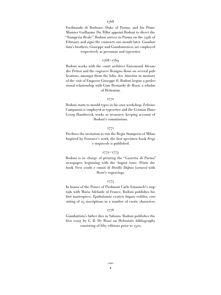Ferdinando di Borbone, Duke of Parma, and his Prime Minister Guillaume Du Tillot appoint Bodoni to direct the "Stamperia Reale." Bodoni arrives in Parma on the 24th of February and signs the contracts one month later. Giambattista's brothers, Giuseppe and Giandomenico, are employed respectively as pressman and typesetter.

## 1768–1769

Bodoni works with the court architect Ennemond Alexandre Petitot and the engraver Benigno Bossi on several publications, amongst them the folio *Ara Amicitiæ* in memory of the visit of Emperor Giuseppe II. Bodoni begins a professional relationship with Gian Bernardo de Rossi, a scholar of Hebraism.

#### 1770

Bodoni starts to mould types in his own workshop. Zefirino Campanini is employed as typesetter and the German Hans-Georg Handwerck works as treasurer, keeping account of Bodoni's commissions.

## 1771

Declines the invitation to run the Regia Stamperia of Milan. Inspired by Fournier's work, the first specimen book *Fregi e majuscole* is published.

## 1772–1773

Bodoni is in charge of printing the "Gazzetta di Parma" newspaper, beginning with the August issue. Prints the book *Versi sciolti e rimati di Dorillo Dafnio* (octavo) with Bossi's engravings.

#### 1775

In honor of the Prince of Piedmont Carlo Emanuele's nuptials with Maria Adelaide of France, Bodoni publishes his first masterpiece, *Epithalamia exoticis linguis reddita*, consisting of 25 inscriptions in a number of exotic characters.

## 1776

Giambattista's father dies in Saluzzo. Bodoni publishes the first essay by G. B. De Rossi on Hebraistic bibliography consisting of fifty editions prior to 1500.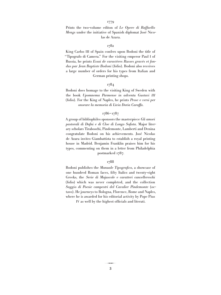Prints the two-volume editon of *Le Opere di Raffaello Mengs* under the initiative of Spanish diplomat José Nicolas de Azara*.*

## 1782

King Carlos III of Spain confers upon Bodoni the title of "Tipografo di Camera." For the visiting emperor Paul I of Russia, he prints *Essai de caractères Russes gravés et fondus par Jean Baptiste Bodoni* (folio). Bodoni also receives a large number of orders for his types from Italian and German printing shops.

## 1784

Bodoni does homage to the visiting King of Sweden with the book *Upomnema Parmense in adventu Gustavi III* (folio). For the King of Naples, he prints *Prose e versi per onorare la memoria di Livia Doria Caraffa.*

## 1786–1787

A group of bibliophiles sponsors the masterpiece *Gli amori pastorali di Dafni e di Cloe di Longo Sofista.* Major literary scholars Tiraboschi, Pindemonte, Lamberti and Denina congratulate Bodoni on his achievements. José Nicolas de Azara invites Giambattista to establish a royal printing house in Madrid. Benjamin Franklin praises him for his types, commenting on them in a letter from Philadelphia postmarked 1787.

### 1788

Bodoni publishes the *Manuale Tipografico,* a showcase of one hundred Roman faces, fifty Italics and twenty-eight Greeks, the *Serie di Majuscole e caratteri cancellereschi* (folio) which was never completed, and the collection *Saggio di Poesie campestri del Cavalier Pindemonte* (octavo). He journeys to Bologna, Florence, Rome and Naples, where he is awarded for his editorial activity by Pope Pius

IV as well by the highest officials and literati.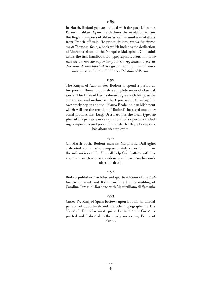In March, Bodoni gets acquainted with the poet Giuseppe Parini in Milan. Again, he declines the invitation to run the Regia Stamperia of Milan as well as similar invitations from French officials. He prints *Aminta, favola boschereccia di Torquato Tasso,* a book which includes the dedication of Vincenzo Monti to the Marquise Malaspina. Campanini writes the first handbook for typographers, *Istruzioni pratiche ad un novello capo-stampa o sia regolamento per la direzione di una tipografica officina,* an unpublished work now preserved in the Biblioteca Palatina of Parma.

#### 1790

The Knight of Azar invites Bodoni to spend a period as his guest in Rome to publish a complete series of classical works. The Duke of Parma doesn't agree with his possible emigration and authorizes the typographer to set up his own workshop inside the Palazzo Reale; an establishment which will see the creation of Bodoni's best and most personal productions. Luigi Orsi becomes the head typographer of his private workshop, a total of 12 persons including compositors and pressmen, while the Regia Stamperia has about 20 employees.

## 1791

On March 19th, Bodoni marries Margherita Dall'Aglio, a devoted woman who compassionately cares for him in the infirmities of life. She will help Giambattista with his abundant written correspondences and carry on his work after his death.

## 1792

Bodoni publishes two folio and quarto editions of the *Callimaco,* in Greek and Italian, in time for the wedding of Carolina Teresa di Borbone with Massimiliano di Sassonia.

#### 1793

Carlos IV, King of Spain bestows upon Bodoni an annual pension of 6000 Reali and the title "Typographer to His Majesty." The folio masterpiece *De imitatione Christi* is printed and dedicated to the newly succeeding Prince of Parma.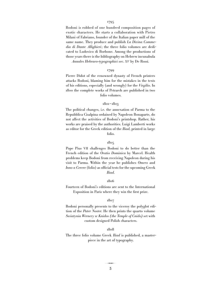Bodoni is robbed of one hundred composition pages of exotic characters. He starts a collaboration with Pietro Milani 0f Fabriano, founder of the Italian paper mill of the same name. They produce and publish *La Divina Commedia di Dante Allighieri*; the three folio volumes are dedicated to Ludovico di Borbone. Among the productions of those years there is the bibliography on Hebrew incunabula

*Annales Hebraeo-typographici sec. XV* by De Rossi.

#### 1799

Pierre Didot of the renowned dynasty of French printers attacks Bodoni, blaming him for the mistakes in the texts of his editions, especially (and wrongly) for the *Virgilio*. In 1800 the complete works of Petrarch are published in two folio volumes.

#### 1801–1803

The political changes, i.e. the annexation of Parma to the Repubblica Cisalpina ordained by Napoleon Bonaparte, do not affect the activities of Bodoni's printshop. Rather, his works are praised by the authorities. Luigi Lamberti works as editor for the Greek edition of the *Iliad*, printed in large folio.

## 1805

Pope Pius VII challenges Bodoni to do better than the French edition of the *Oratio Dominica* by Marcel. Health problems keep Bodoni from receiving Napoleon during his visit to Parma. Within the year he publishes *Omero* and *Inno a Cerere* (folio) as official tests for the upcoming Greek *Iliad*.

#### 1806

Fourteen of Bodoni's editions are sent to the International Exposition in Paris where they win the first prize.

#### 1807

Bodoni personally presents to the viceroy the polyglot edition of the *Pater Noster.* He then prints the quarto volume *Swiatynia Wernery w Knidos (the Temple of Cnido)* set with custom designed Polish characters.

#### 1808

The three folio volume Greek *Iliad* is published, a masterpiece in the art of typography.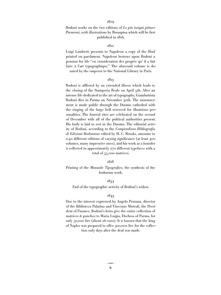Bodoni works on the two editions of *Le più insigni pitture Parmensi, with* illustrations by Rosaspina which will be first published in 1816.

## 1810

Luigi Lamberti presents to Napoleon a copy of the *Iliad* printed on parchment. Napoleon bestows upon Bodoni a pension for life "en consideration des progrès qu' il a fait faire à l'art typographique." The aforesaid volume is donated by the emperor to the National Library in Paris.

#### 1813

Bodoni is afflicted by an extended illness which leads to the closing of the Stamperia Reale on April 5th. After an intense life dedicated to the art of typography, Giambattista Bodoni dies in Parma on November 30th. The announcement is made public through the Duomo cathedral with the ringing of the large bell reserved for illustrious personalities. The funeral rites are celebrated on the second of December with all of the political authorities present. His body is laid to rest in the Duomo. The editorial activity of Bodoni, according to the *Compendiosa Bibliografia di Edizioni Bodoniane* edited by H. C. Brooks, amounts to 1140 different editions of varying significance (at least 400 volumes, many impressive ones), and his work as a founder is reflected in approximately 270 different typefaces with a total of 55,000 matrices.

#### 1818

Printing of the *Manuale Tipografico,* the synthesis of the bodonian work.

## 1834

End of the typographic activity of Bodoni's widow.

#### 1843

Due to the interest expressed by Angelo Pezzana, director of the Biblioteca Palatina and Vincenzo Mistrali, the President of Finance, Bodoni's heirs give the entire collection of matrices & punches to Maria Luigia, Duchess of Parma, for only 50,000 lire (about 26 euro). It is known that the king of Naples was prepared to offer 300,000 lire for the collec-

tion only days after the deal was made.